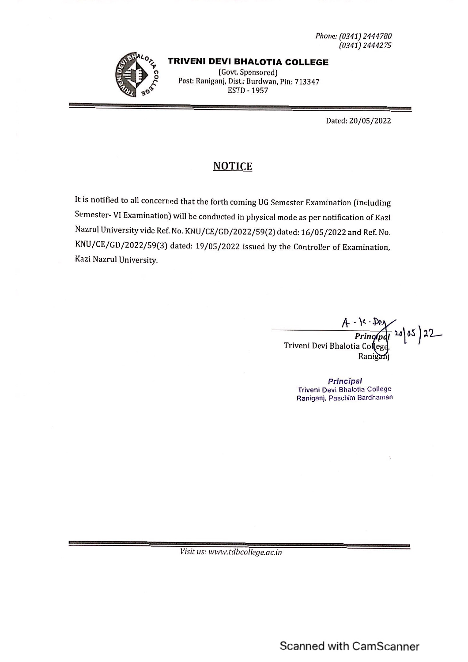Phone: (0341) 2444780  $(0341) 2444275$ 



#### **TRIVENI DEVI BHALOTIA COLLEGE**

(Govt. Sponsored) Post: Raniganj, Dist.: Burdwan, Pin: 713347 **ESTD - 1957** 

Dated: 20/05/2022

### **NOTICE**

It is notified to all concerned that the forth coming UG Semester Examination (including Semester- VI Examination) will be conducted in physical mode as per notification of Kazi Nazrul University vide Ref. No. KNU/CE/GD/2022/59(2) dated: 16/05/2022 and Ref. No. KNU/CE/GD/2022/59(3) dated: 19/05/2022 issued by the Controller of Examination, Kazi Nazrul University.

> $-15.20$ <br>Principal 20 05 22 Triveni Devi Bhalotia College Rani

> > Principal Triveni Devi Bhalotia College Raniganj, Paschim Bardhaman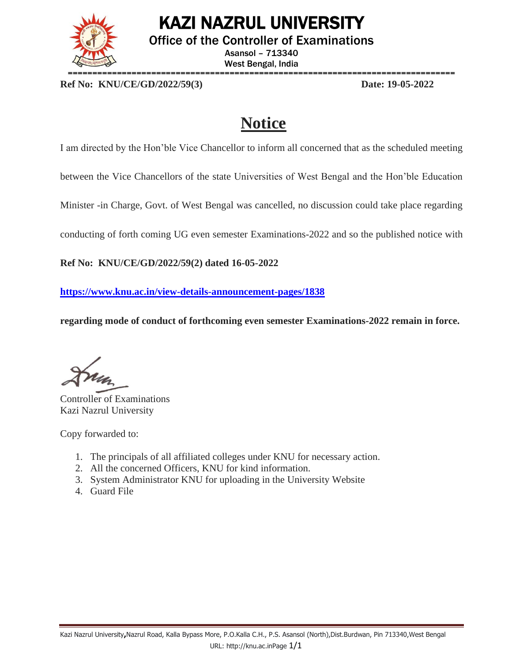

## KAZI NAZRUL UNIVERSITY

Office of the Controller of Examinations

Asansol – 713340 West Bengal, India

**Ref No: KNU/CE/GD/2022/59(3) Date: 19-05-2022**

## **Notice**

I am directed by the Hon'ble Vice Chancellor to inform all concerned that as the scheduled meeting

between the Vice Chancellors of the state Universities of West Bengal and the Hon'ble Education

Minister -in Charge, Govt. of West Bengal was cancelled, no discussion could take place regarding

conducting of forth coming UG even semester Examinations-2022 and so the published notice with

**Ref No: KNU/CE/GD/2022/59(2) dated 16-05-2022** 

**<https://www.knu.ac.in/view-details-announcement-pages/1838>**

**regarding mode of conduct of forthcoming even semester Examinations-2022 remain in force.**

Controller of Examinations Kazi Nazrul University

Copy forwarded to:

- 1. The principals of all affiliated colleges under KNU for necessary action.
- 2. All the concerned Officers, KNU for kind information.
- 3. System Administrator KNU for uploading in the University Website
- 4. Guard File